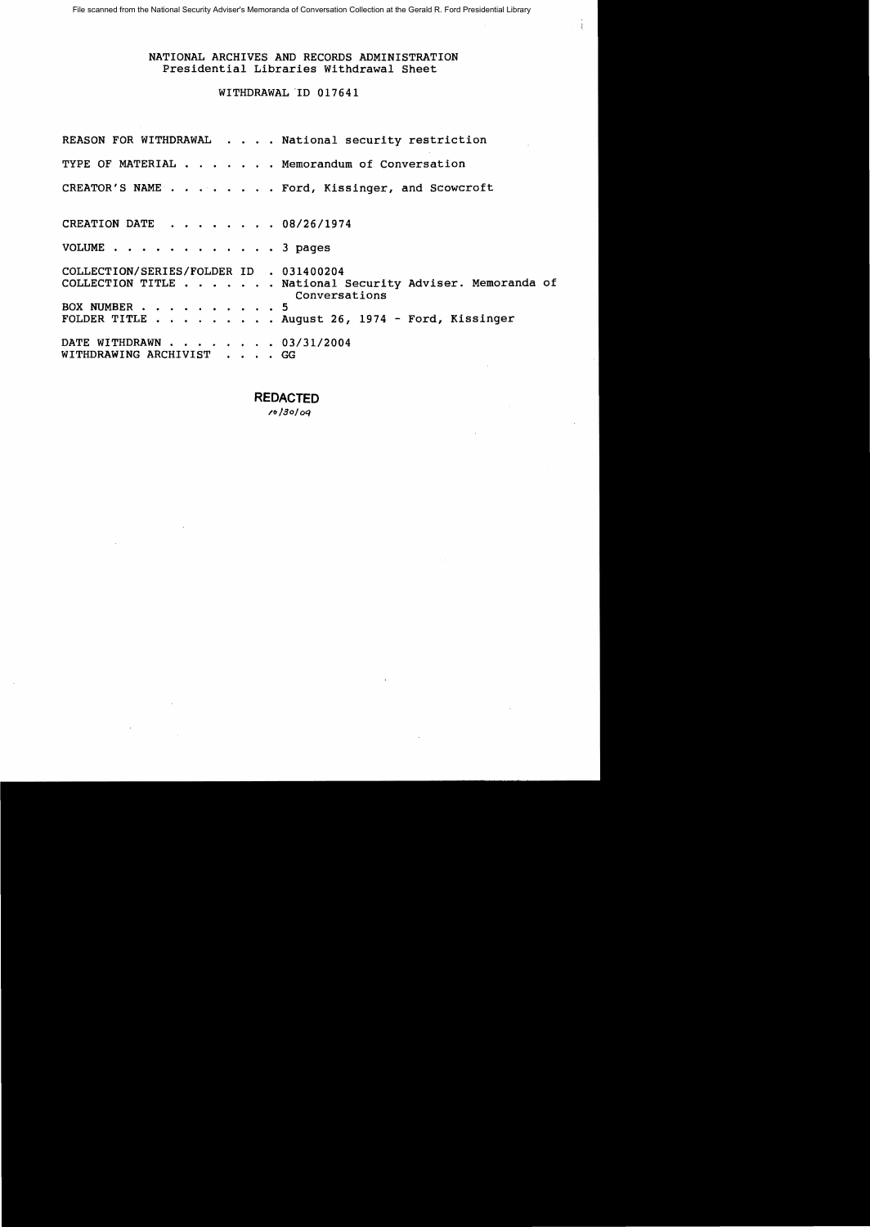File scanned from the National Security Adviser's Memoranda of Conversation Collection at the Gerald R. Ford Presidential Library

## NATIONAL ARCHIVES AND RECORDS ADMINISTRATION Presidential Libraries Withdrawal Sheet

# WITHDRAWAL ID 017641

REASON FOR WITHDRAWAL . . . . National security restriction TYPE OF MATERIAL  $\cdots$   $\cdots$   $\cdots$  Memorandum of Conversation CREATOR'S NAME . . . . . . . . Ford, Kissinger, and Scowcroft CREATION DATE . . . . . . . 08/26/1974 VOLUME . . . . . . . . . . . . 3 pages COLLECTION/SERIES/FOLDER ID . 031400204 COLLECTION TITLE . ..•. National Security Adviser. Memoranda of Conversations BOX NUMBER . . . . . . . . . . 5 FOLDER TITLE  $\ldots$  . . . . . . August 26, 1974 - Ford, Kissinger DATE WITHDRAWN . . . . . . . 03/31/2004 WITHDRAWING ARCHIVIST . . . . GG

**REDACTED** 

*/o/8oloq*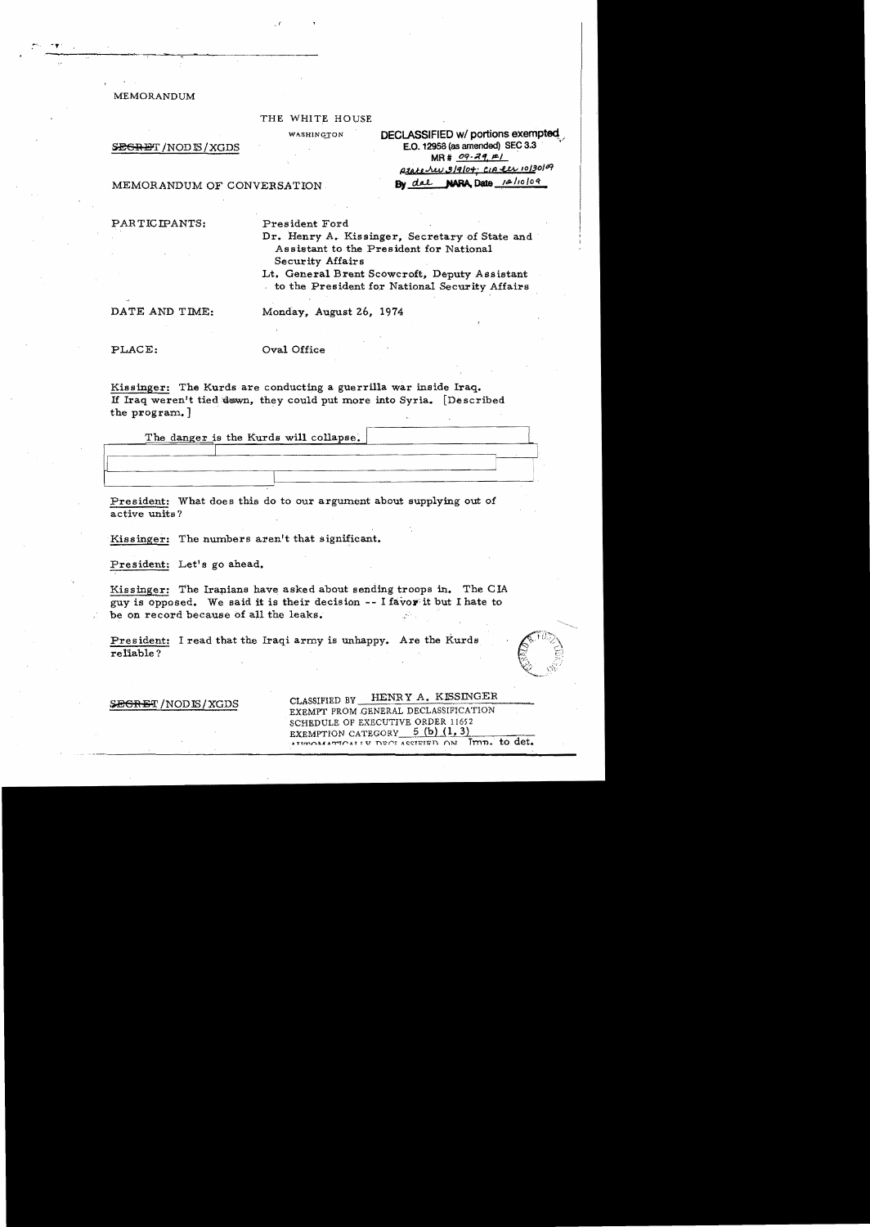**MEMORANDUM** 

#### THE WHITE HOUSE

WASHINGTON

#### SEGRET / NOD IS / XGDS

DECLASSIFIED w/ portions exempted E.O. 12958 (as amended) SEC 3.3  $MR# 09 - 29. F1$ prote rev 3/9/04: CIA et 10/30/09 By dal NARA Date 12/10/09

MEMORANDUM OF CONVERSATION

PARTICIPANTS:

President Ford

Dr. Henry A. Kissinger, Secretary of State and Assistant to the President for National Security Affairs

Lt. General Brent Scowcroft, Deputy Assistant to the President for National Security Affairs

DATE AND TIME:

Monday, August 26, 1974

PLACE:

Oval Office

Kissinger: The Kurds are conducting a guerrilla war inside Iraq. If Iraq weren't tied down, they could put more into Syria. [Described the program.]

The danger is the Kurds will collapse.

President: What does this do to our argument about supplying out of active units?

Kissinger: The numbers aren't that significant.

President: Let's go ahead.

Kissinger: The Iranians have asked about sending troops in. The CIA guy is opposed. We said it is their decision -- I favor it but I hate to be on record because of all the leaks.

President: I read that the Iraqi army is unhappy. Are the Kurds reliable?

SEGRET/NODIS/XGDS

HENRY A. KISSINGER CLASSIFIED BY EXEMPT FROM GENERAL DECLASSIFICATION SCHEDULE OF EXECUTIVE ORDER 11652 EXEMPTION CATEGORY 5 (b)  $(1, 3)$ ACCIFIED ON Imp. to det.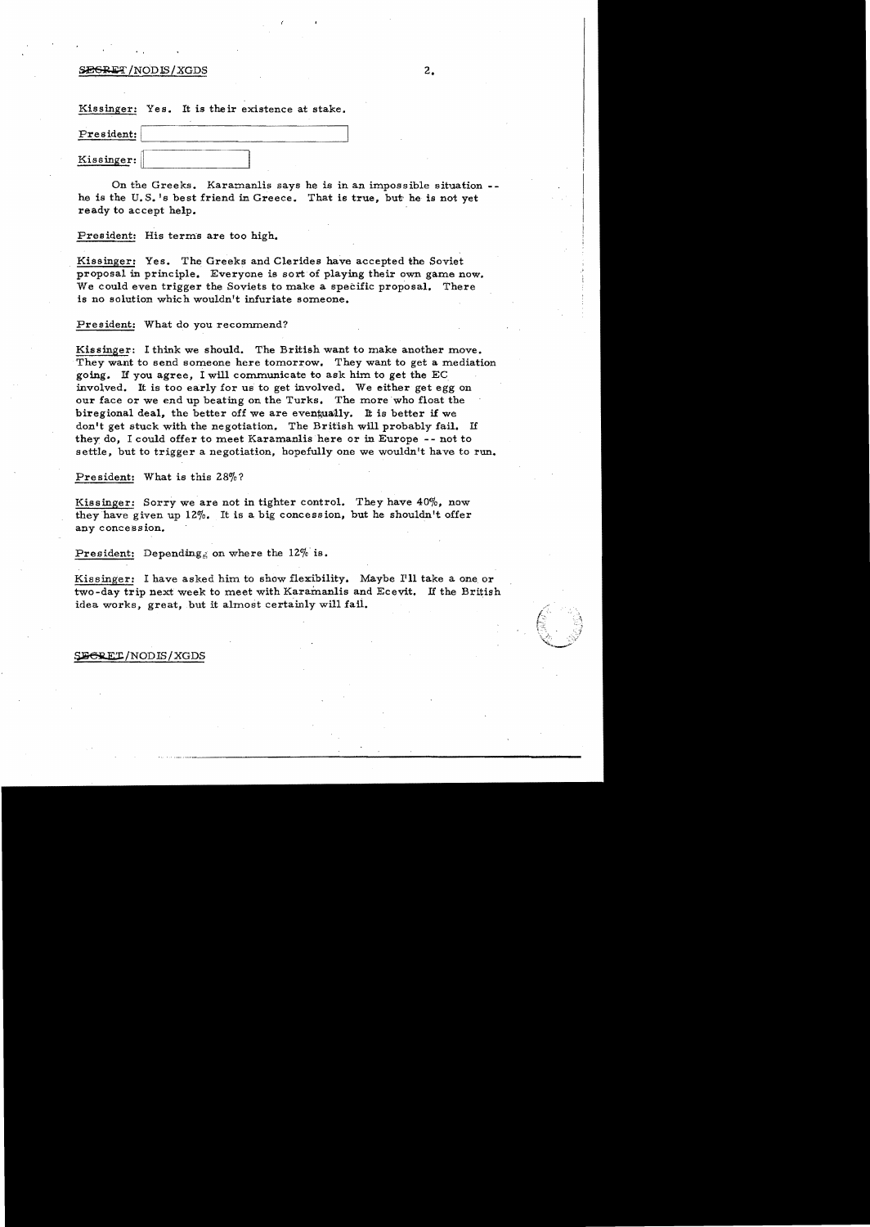### $SE$ GRET/NODIS/XGDS 2.

Kissinger: Yes. It is their existence at stake.

| President: |  |
|------------|--|
| Kissinger: |  |

On the Greeks. Karamanlis says he is in an impossible situation he is the U.S.'s best friend in Greece. That is true, but he is not yet ready to accept help.

President: His terms are too high.

Kissinger: Yes. The Greeks and Clerides have accepted the Soviet proposal in principle. Everyone is sort of playing their own game now. We could even trigger the Soviets to make a specific proposal. There is no solution which wouldn't infuriate someone.

#### President: What do you recommend?

Kissinger: I think we should. The British want to make another move. They want to send someone here tomorrow. They want to get a mediation going. If you agree, I will communicate to ask him to get the EC involved. It is too early for us to get involved. We either get egg on our face or we end up beating on the Turks. The more who float the biregional deal, the better off we are eventually. It is better if we don't get stuck with the negotiation. The British will probably fail. If they do. I could offer to meet Karamanlis here or in Europe -- not to settle, but to trigger a negotiation, hopefully one we wouldn't have to run.

President: What is this 28%?

Kissinger: Sorry we are not in tighter control. They have 40%, now they have given up  $12\%$ . It is a big concession, but he shouldn't offer any concession.

President: Depending on where the 12% is.

Kissinger: I have asked him to show flexibility. Maybe I'll take a one or two-day trip next week to meet with Karamanlis and Ecevit. If the British idea works, great, but it almost certainly will faii.

#### **EERET/NODIS/XGDS**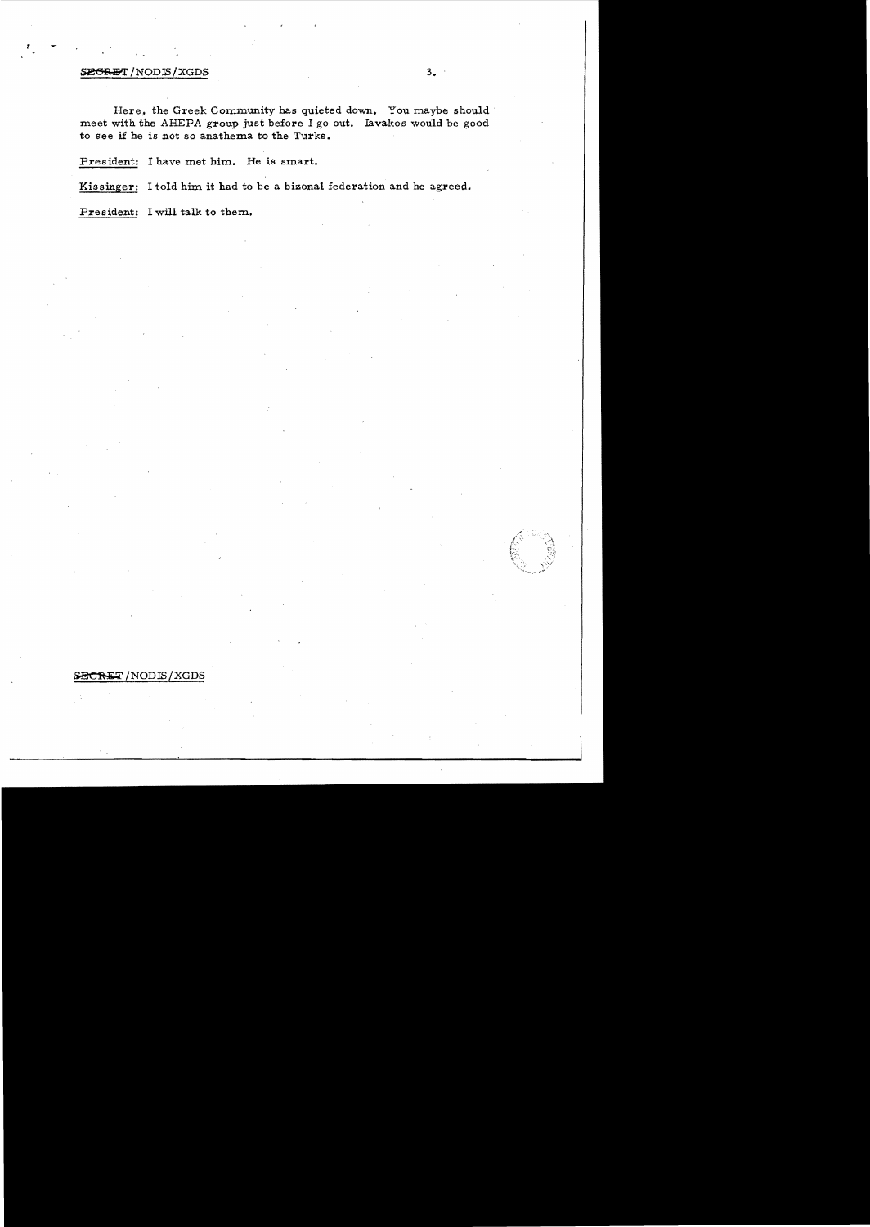## **SEGRET** /NODIS/XGDS 3.

*<sup>r</sup>*, .

Here, the Greek Community has quieted down. You maybe should meet with the AHEPA group just before I go out. Iavakos would be good· to see if he is not so anathema to the Turks.

President: I have met him. He is smart.

'Kissinger: I told him it had to be a bizonal federation and he agreed.

President: I will talk to them.

# SECRET/NODIS/XGDS